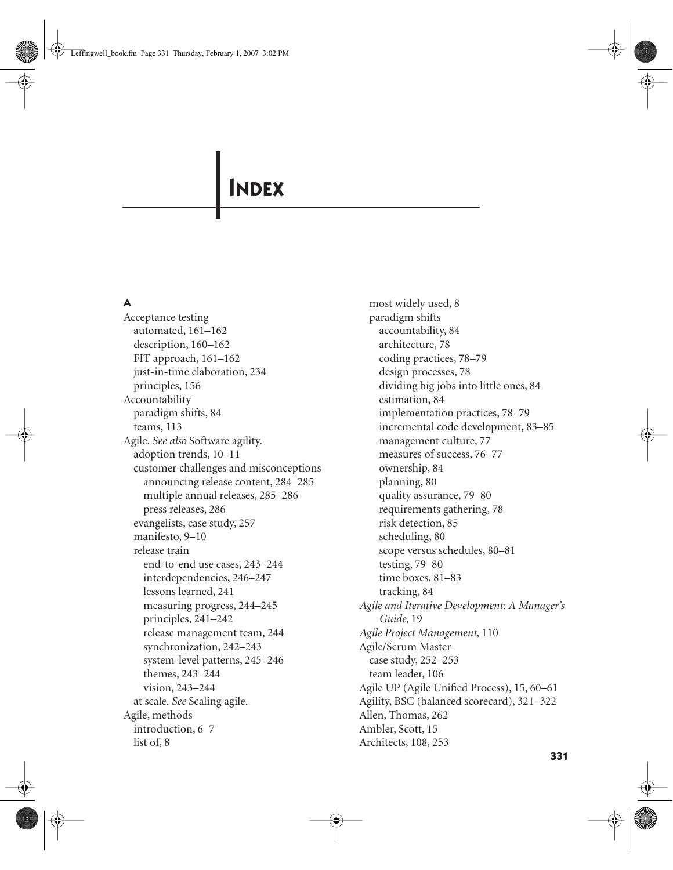# **INDEX**

## **A**

Acceptance testing automated, 161–162 description, 160–162 FIT approach, 161–162 just-in-time elaboration, 234 principles, 156 Accountability paradigm shifts, 84 teams, 113 Agile. *See also* Software agility. adoption trends, 10–11 customer challenges and misconceptions announcing release content, 284–285 multiple annual releases, 285–286 press releases, 286 evangelists, case study, 257 manifesto, 9–10 release train end-to-end use cases, 243–244 interdependencies, 246–247 lessons learned, 241 measuring progress, 244–245 principles, 241–242 release management team, 244 synchronization, 242–243 system-level patterns, 245–246 themes, 243–244 vision, 243–244 at scale. *See* Scaling agile. Agile, methods introduction, 6–7 list of, 8

most widely used, 8 paradigm shifts accountability, 84 architecture, 78 coding practices, 78–79 design processes, 78 dividing big jobs into little ones, 84 estimation, 84 implementation practices, 78–79 incremental code development, 83–85 management culture, 77 measures of success, 76–77 ownership, 84 planning, 80 quality assurance, 79–80 requirements gathering, 78 risk detection, 85 scheduling, 80 scope versus schedules, 80–81 testing, 79–80 time boxes, 81–83 tracking, 84 *Agile and Iterative Development: A Manager's Guide*, 19 *Agile Project Management*, 110 Agile/Scrum Master case study, 252–253 team leader, 106 Agile UP (Agile Unified Process), 15, 60–61 Agility, BSC (balanced scorecard), 321–322 Allen, Thomas, 262 Ambler, Scott, 15 Architects, 108, 253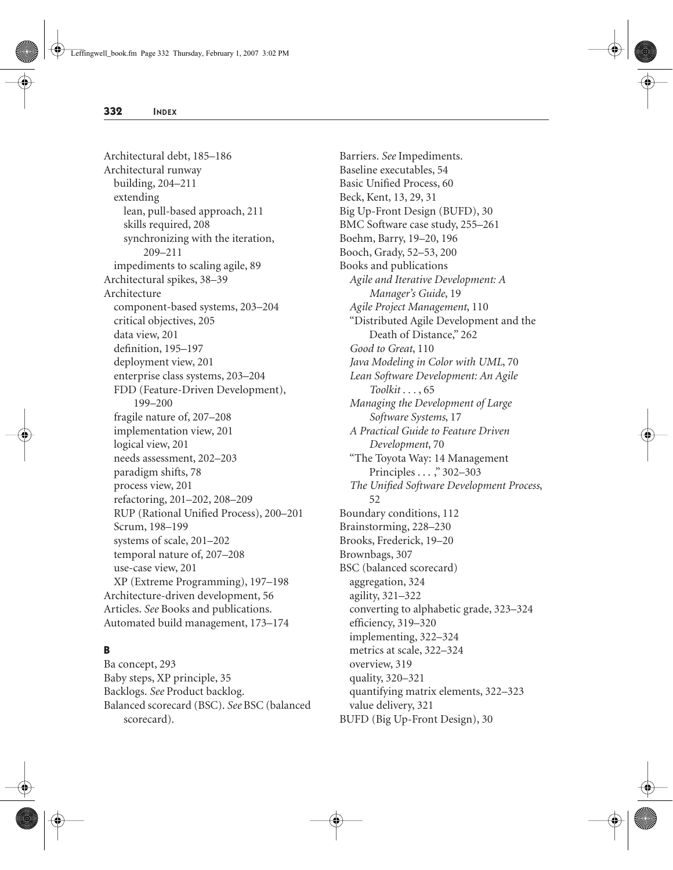Architectural debt, 185–186 Architectural runway building, 204–211 extending lean, pull-based approach, 211 skills required, 208 synchronizing with the iteration, 209–211 impediments to scaling agile, 89 Architectural spikes, 38–39 Architecture component-based systems, 203–204 critical objectives, 205 data view, 201 definition, 195–197 deployment view, 201 enterprise class systems, 203–204 FDD (Feature-Driven Development), 199–200 fragile nature of, 207–208 implementation view, 201 logical view, 201 needs assessment, 202–203 paradigm shifts, 78 process view, 201 refactoring, 201–202, 208–209 RUP (Rational Unified Process), 200–201 Scrum, 198–199 systems of scale, 201–202 temporal nature of, 207–208 use-case view, 201 XP (Extreme Programming), 197–198 Architecture-driven development, 56 Articles. *See* Books and publications. Automated build management, 173–174

# **B**

Ba concept, 293 Baby steps, XP principle, 35 Backlogs. *See* Product backlog. Balanced scorecard (BSC). *See* BSC (balanced scorecard).

Barriers. *See* Impediments. Baseline executables, 54 Basic Unified Process, 60 Beck, Kent, 13, 29, 31 Big Up-Front Design (BUFD), 30 BMC Software case study, 255–261 Boehm, Barry, 19–20, 196 Booch, Grady, 52–53, 200 Books and publications *Agile and Iterative Development: A Manager's Guide*, 19 *Agile Project Management*, 110 "Distributed Agile Development and the Death of Distance," 262 *Good to Great*, 110 *Java Modeling in Color with UML*, 70 *Lean Software Development: An Agile Toolkit . . .* , 65 *Managing the Development of Large Software Systems*, 17 *A Practical Guide to Feature Driven Development*, 70 "The Toyota Way: 14 Management Principles . . . ," 302–303 *The Unified Software Development Process*, 52 Boundary conditions, 112 Brainstorming, 228–230 Brooks, Frederick, 19–20 Brownbags, 307 BSC (balanced scorecard) aggregation, 324 agility, 321–322 converting to alphabetic grade, 323–324 efficiency, 319–320 implementing, 322–324 metrics at scale, 322–324 overview, 319 quality, 320–321 quantifying matrix elements, 322–323 value delivery, 321 BUFD (Big Up-Front Design), 30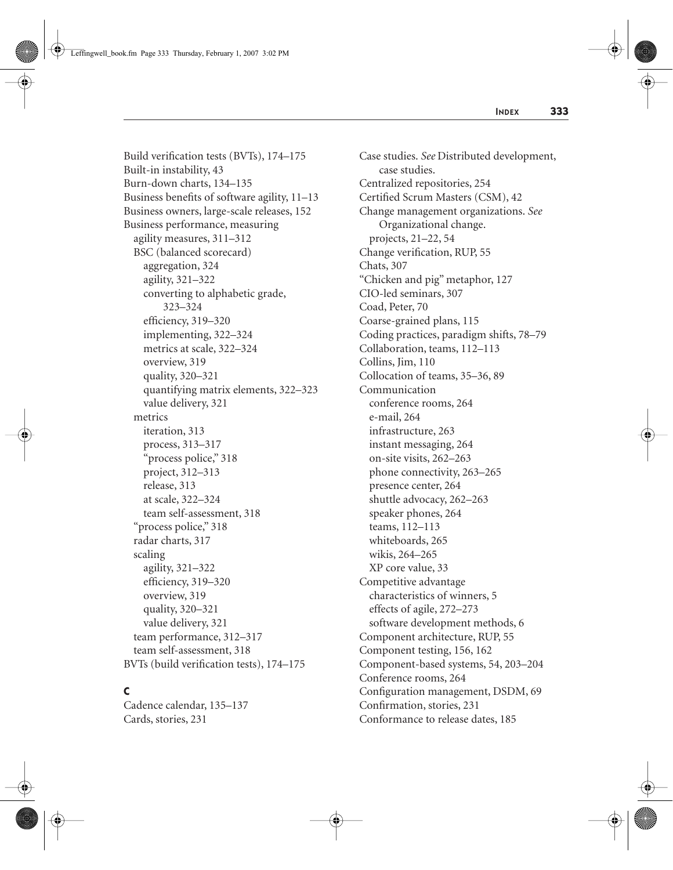Build verification tests (BVTs), 174–175 Built-in instability, 43 Burn-down charts, 134–135 Business benefits of software agility, 11–13 Business owners, large-scale releases, 152 Business performance, measuring agility measures, 311–312 BSC (balanced scorecard) aggregation, 324 agility, 321–322 converting to alphabetic grade, 323–324 efficiency, 319–320 implementing, 322–324 metrics at scale, 322–324 overview, 319 quality, 320–321 quantifying matrix elements, 322–323 value delivery, 321 metrics iteration, 313 process, 313–317 "process police," 318 project, 312–313 release, 313 at scale, 322–324 team self-assessment, 318 "process police," 318 radar charts, 317 scaling agility, 321–322 efficiency, 319–320 overview, 319 quality, 320–321 value delivery, 321 team performance, 312–317 team self-assessment, 318 BVTs (build verification tests), 174–175

#### **C**

Cadence calendar, 135–137 Cards, stories, 231

Case studies. *See* Distributed development, case studies. Centralized repositories, 254 Certified Scrum Masters (CSM), 42 Change management organizations. *See* Organizational change. projects, 21–22, 54 Change verification, RUP, 55 Chats, 307 "Chicken and pig" metaphor, 127 CIO-led seminars, 307 Coad, Peter, 70 Coarse-grained plans, 115 Coding practices, paradigm shifts, 78–79 Collaboration, teams, 112–113 Collins, Jim, 110 Collocation of teams, 35–36, 89 Communication conference rooms, 264 e-mail, 264 infrastructure, 263 instant messaging, 264 on-site visits, 262–263 phone connectivity, 263–265 presence center, 264 shuttle advocacy, 262–263 speaker phones, 264 teams, 112–113 whiteboards, 265 wikis, 264–265 XP core value, 33 Competitive advantage characteristics of winners, 5 effects of agile, 272–273 software development methods, 6 Component architecture, RUP, 55 Component testing, 156, 162 Component-based systems, 54, 203–204 Conference rooms, 264 Configuration management, DSDM, 69 Confirmation, stories, 231 Conformance to release dates, 185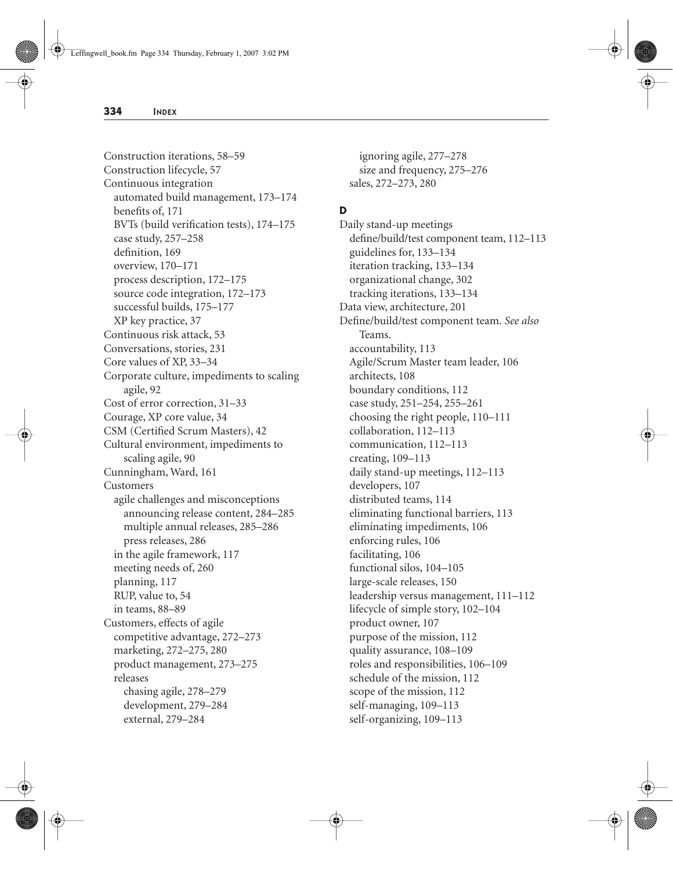Construction iterations, 58–59 Construction lifecycle, 57 Continuous integration automated build management, 173–174 benefits of, 171 BVTs (build verification tests), 174–175 case study, 257–258 definition, 169 overview, 170–171 process description, 172–175 source code integration, 172–173 successful builds, 175–177 XP key practice, 37 Continuous risk attack, 53 Conversations, stories, 231 Core values of XP, 33–34 Corporate culture, impediments to scaling agile, 92 Cost of error correction, 31–33 Courage, XP core value, 34 CSM (Certified Scrum Masters), 42 Cultural environment, impediments to scaling agile, 90 Cunningham, Ward, 161 Customers agile challenges and misconceptions announcing release content, 284–285 multiple annual releases, 285–286 press releases, 286 in the agile framework, 117 meeting needs of, 260 planning, 117 RUP, value to, 54 in teams, 88–89 Customers, effects of agile competitive advantage, 272–273 marketing, 272–275, 280 product management, 273–275 releases chasing agile, 278–279 development, 279–284 external, 279–284

ignoring agile, 277–278 size and frequency, 275–276 sales, 272–273, 280

# **D**

Daily stand-up meetings define/build/test component team, 112–113 guidelines for, 133–134 iteration tracking, 133–134 organizational change, 302 tracking iterations, 133–134 Data view, architecture, 201 Define/build/test component team. *See also* Teams. accountability, 113 Agile/Scrum Master team leader, 106 architects, 108 boundary conditions, 112 case study, 251–254, 255–261 choosing the right people, 110–111 collaboration, 112–113 communication, 112–113 creating, 109–113 daily stand-up meetings, 112–113 developers, 107 distributed teams, 114 eliminating functional barriers, 113 eliminating impediments, 106 enforcing rules, 106 facilitating, 106 functional silos, 104–105 large-scale releases, 150 leadership versus management, 111–112 lifecycle of simple story, 102–104 product owner, 107 purpose of the mission, 112 quality assurance, 108–109 roles and responsibilities, 106–109 schedule of the mission, 112 scope of the mission, 112 self-managing, 109–113 self-organizing, 109–113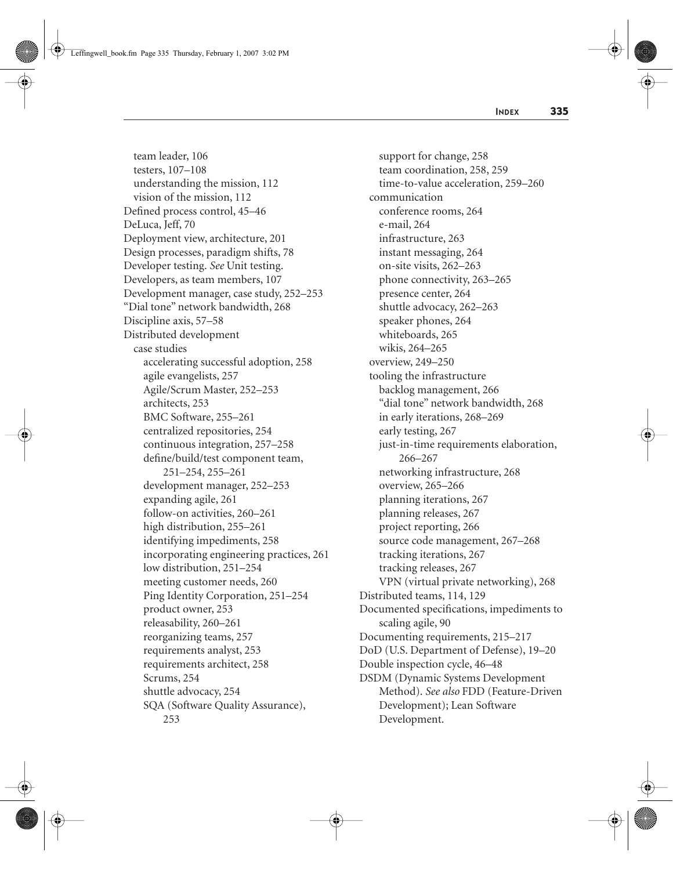team leader, 106 testers, 107–108 understanding the mission, 112 vision of the mission, 112 Defined process control, 45–46 DeLuca, Jeff, 70 Deployment view, architecture, 201 Design processes, paradigm shifts, 78 Developer testing. *See* Unit testing. Developers, as team members, 107 Development manager, case study, 252–253 "Dial tone" network bandwidth, 268 Discipline axis, 57–58 Distributed development case studies accelerating successful adoption, 258 agile evangelists, 257 Agile/Scrum Master, 252–253 architects, 253 BMC Software, 255–261 centralized repositories, 254 continuous integration, 257–258 define/build/test component team, 251–254, 255–261 development manager, 252–253 expanding agile, 261 follow-on activities, 260–261 high distribution, 255–261 identifying impediments, 258 incorporating engineering practices, 261 low distribution, 251–254 meeting customer needs, 260 Ping Identity Corporation, 251–254 product owner, 253 releasability, 260–261 reorganizing teams, 257 requirements analyst, 253 requirements architect, 258 Scrums, 254 shuttle advocacy, 254 SQA (Software Quality Assurance), 253

support for change, 258 team coordination, 258, 259 time-to-value acceleration, 259–260 communication conference rooms, 264 e-mail, 264 infrastructure, 263 instant messaging, 264 on-site visits, 262–263 phone connectivity, 263–265 presence center, 264 shuttle advocacy, 262–263 speaker phones, 264 whiteboards, 265 wikis, 264–265 overview, 249–250 tooling the infrastructure backlog management, 266 "dial tone" network bandwidth, 268 in early iterations, 268–269 early testing, 267 just-in-time requirements elaboration, 266–267 networking infrastructure, 268 overview, 265–266 planning iterations, 267 planning releases, 267 project reporting, 266 source code management, 267–268 tracking iterations, 267 tracking releases, 267 VPN (virtual private networking), 268 Distributed teams, 114, 129 Documented specifications, impediments to scaling agile, 90 Documenting requirements, 215–217 DoD (U.S. Department of Defense), 19–20 Double inspection cycle, 46–48 DSDM (Dynamic Systems Development Method). *See also* FDD (Feature-Driven Development); Lean Software Development.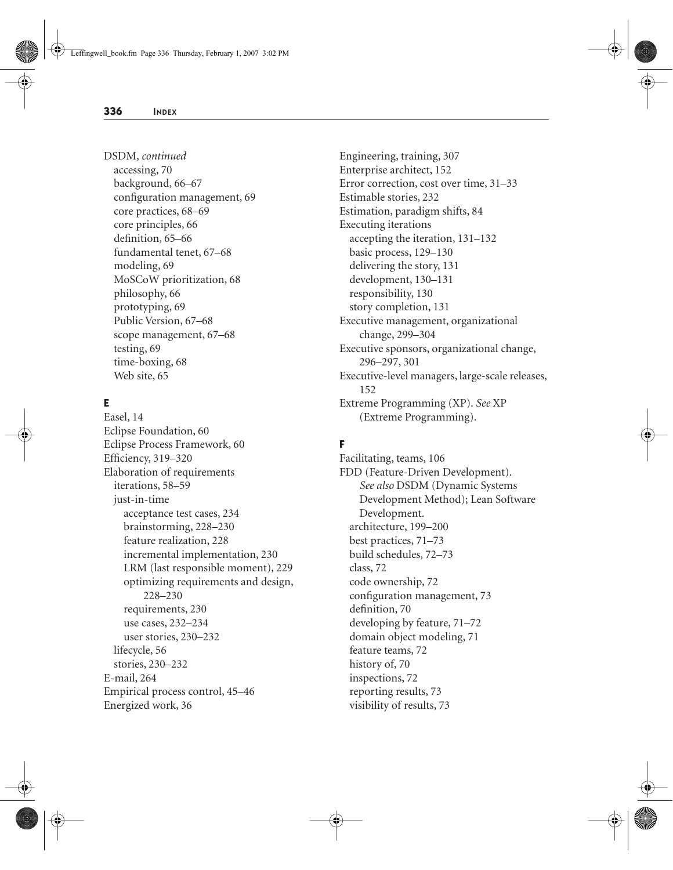DSDM, *continued* accessing, 70 background, 66–67 configuration management, 69 core practices, 68–69 core principles, 66 definition, 65–66 fundamental tenet, 67–68 modeling, 69 MoSCoW prioritization, 68 philosophy, 66 prototyping, 69 Public Version, 67–68 scope management, 67–68 testing, 69 time-boxing, 68 Web site, 65

# **E**

Easel, 14 Eclipse Foundation, 60 Eclipse Process Framework, 60 Efficiency, 319–320 Elaboration of requirements iterations, 58–59 just-in-time acceptance test cases, 234 brainstorming, 228–230 feature realization, 228 incremental implementation, 230 LRM (last responsible moment), 229 optimizing requirements and design, 228–230 requirements, 230 use cases, 232–234 user stories, 230–232 lifecycle, 56 stories, 230–232 E-mail, 264 Empirical process control, 45–46 Energized work, 36

Engineering, training, 307 Enterprise architect, 152 Error correction, cost over time, 31–33 Estimable stories, 232 Estimation, paradigm shifts, 84 Executing iterations accepting the iteration, 131–132 basic process, 129–130 delivering the story, 131 development, 130–131 responsibility, 130 story completion, 131 Executive management, organizational change, 299–304 Executive sponsors, organizational change, 296–297, 301 Executive-level managers, large-scale releases, 152 Extreme Programming (XP). *See* XP (Extreme Programming).

## **F**

Facilitating, teams, 106 FDD (Feature-Driven Development). *See also* DSDM (Dynamic Systems Development Method); Lean Software Development. architecture, 199–200 best practices, 71–73 build schedules, 72–73 class, 72 code ownership, 72 configuration management, 73 definition, 70 developing by feature, 71–72 domain object modeling, 71 feature teams, 72 history of, 70 inspections, 72 reporting results, 73 visibility of results, 73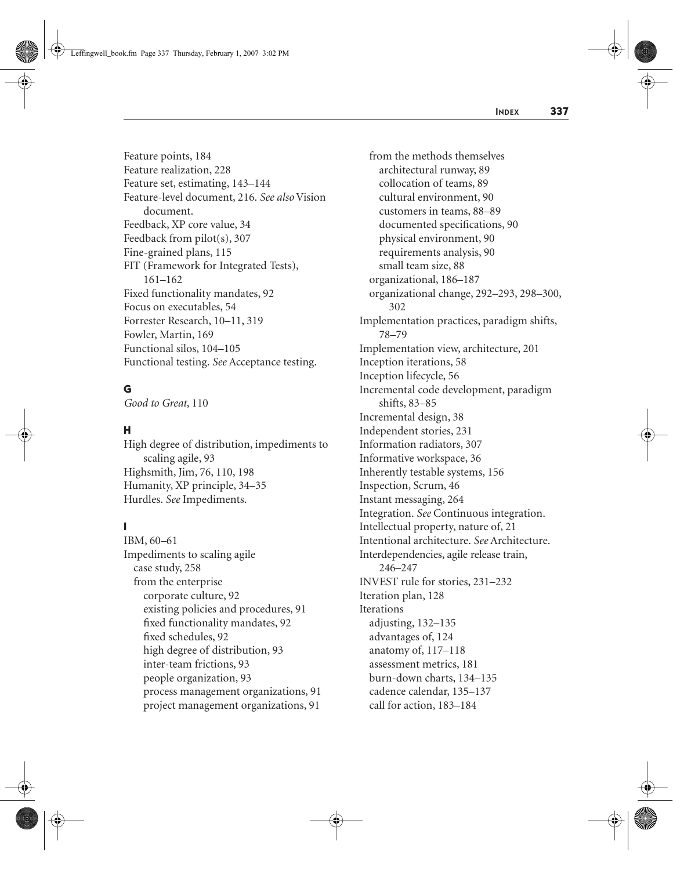Feature points, 184 Feature realization, 228 Feature set, estimating, 143–144 Feature-level document, 216. *See also* Vision document. Feedback, XP core value, 34 Feedback from pilot(s), 307 Fine-grained plans, 115 FIT (Framework for Integrated Tests), 161–162 Fixed functionality mandates, 92 Focus on executables, 54 Forrester Research, 10–11, 319 Fowler, Martin, 169 Functional silos, 104–105 Functional testing. *See* Acceptance testing.

## **G**

*Good to Great*, 110

## **H**

High degree of distribution, impediments to scaling agile, 93 Highsmith, Jim, 76, 110, 198 Humanity, XP principle, 34–35 Hurdles. *See* Impediments.

## **I**

IBM, 60–61 Impediments to scaling agile case study, 258 from the enterprise corporate culture, 92 existing policies and procedures, 91 fixed functionality mandates, 92 fixed schedules, 92 high degree of distribution, 93 inter-team frictions, 93 people organization, 93 process management organizations, 91 project management organizations, 91

from the methods themselves architectural runway, 89 collocation of teams, 89 cultural environment, 90 customers in teams, 88–89 documented specifications, 90 physical environment, 90 requirements analysis, 90 small team size, 88 organizational, 186–187 organizational change, 292–293, 298–300, 302 Implementation practices, paradigm shifts, 78–79 Implementation view, architecture, 201 Inception iterations, 58 Inception lifecycle, 56 Incremental code development, paradigm shifts, 83–85 Incremental design, 38 Independent stories, 231 Information radiators, 307 Informative workspace, 36 Inherently testable systems, 156 Inspection, Scrum, 46 Instant messaging, 264 Integration. *See* Continuous integration. Intellectual property, nature of, 21 Intentional architecture. *See* Architecture. Interdependencies, agile release train, 246–247 INVEST rule for stories, 231–232 Iteration plan, 128 **Iterations** adjusting, 132–135 advantages of, 124 anatomy of, 117–118 assessment metrics, 181 burn-down charts, 134–135 cadence calendar, 135–137 call for action, 183–184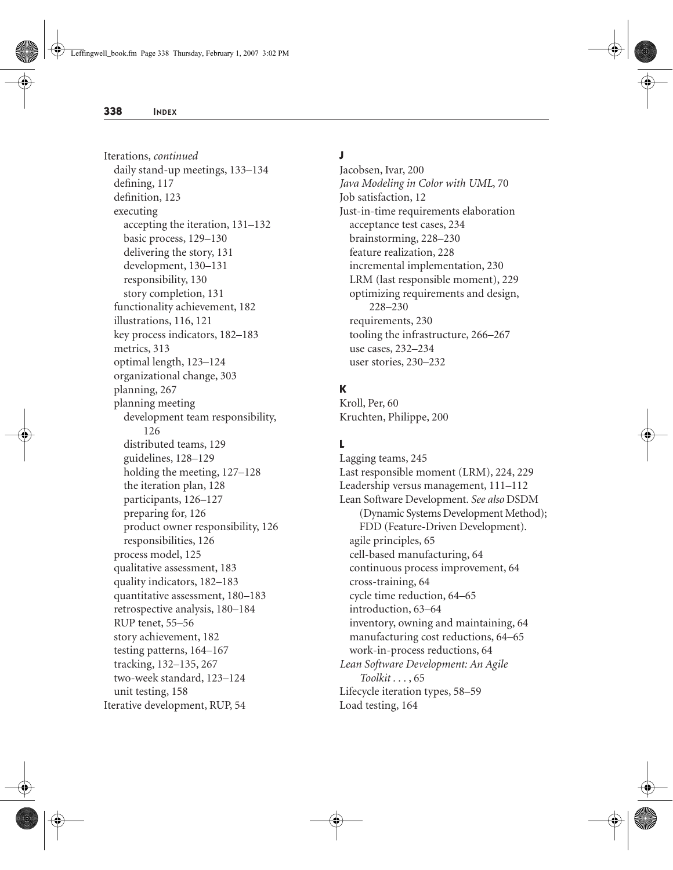Iterations, *continued* daily stand-up meetings, 133–134 defining, 117 definition, 123 executing accepting the iteration, 131–132 basic process, 129–130 delivering the story, 131 development, 130–131 responsibility, 130 story completion, 131 functionality achievement, 182 illustrations, 116, 121 key process indicators, 182–183 metrics, 313 optimal length, 123–124 organizational change, 303 planning, 267 planning meeting development team responsibility, 126 distributed teams, 129 guidelines, 128–129 holding the meeting, 127–128 the iteration plan, 128 participants, 126–127 preparing for, 126 product owner responsibility, 126 responsibilities, 126 process model, 125 qualitative assessment, 183 quality indicators, 182–183 quantitative assessment, 180–183 retrospective analysis, 180–184 RUP tenet, 55–56 story achievement, 182 testing patterns, 164–167 tracking, 132–135, 267 two-week standard, 123–124 unit testing, 158 Iterative development, RUP, 54

#### **J**

Jacobsen, Ivar, 200 *Java Modeling in Color with UML*, 70 Job satisfaction, 12 Just-in-time requirements elaboration acceptance test cases, 234 brainstorming, 228–230 feature realization, 228 incremental implementation, 230 LRM (last responsible moment), 229 optimizing requirements and design, 228–230 requirements, 230 tooling the infrastructure, 266–267 use cases, 232–234 user stories, 230–232

# **K**

Kroll, Per, 60 Kruchten, Philippe, 200

## **L**

Lagging teams, 245 Last responsible moment (LRM), 224, 229 Leadership versus management, 111–112 Lean Software Development. *See also* DSDM (Dynamic Systems Development Method); FDD (Feature-Driven Development). agile principles, 65 cell-based manufacturing, 64 continuous process improvement, 64 cross-training, 64 cycle time reduction, 64–65 introduction, 63–64 inventory, owning and maintaining, 64 manufacturing cost reductions, 64–65 work-in-process reductions, 64 *Lean Software Development: An Agile Toolkit . . .* , 65 Lifecycle iteration types, 58–59 Load testing, 164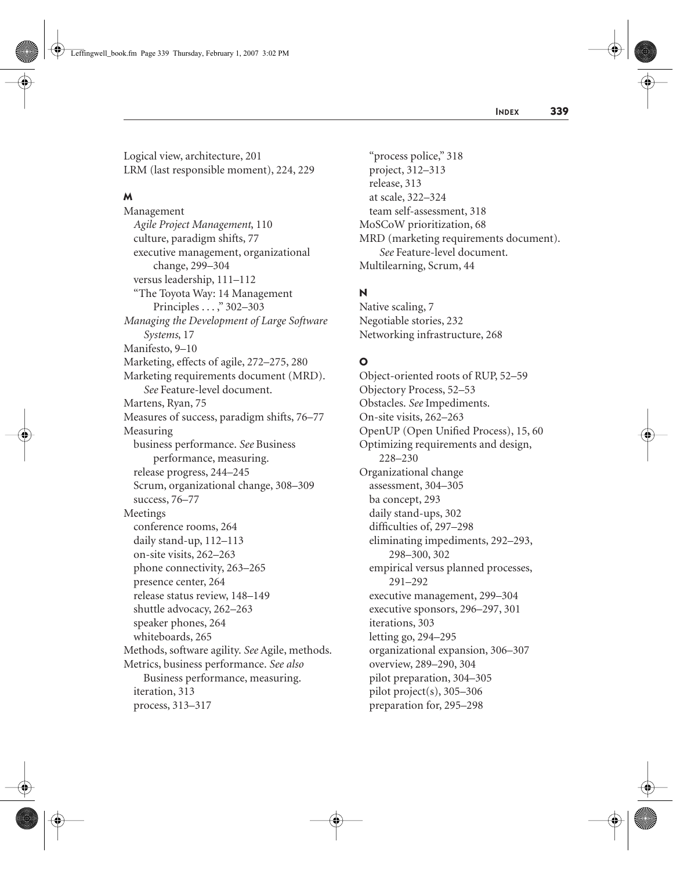Logical view, architecture, 201 LRM (last responsible moment), 224, 229

#### **M**

Management *Agile Project Management*, 110 culture, paradigm shifts, 77 executive management, organizational change, 299–304 versus leadership, 111–112 "The Toyota Way: 14 Management Principles . . . ," 302–303 *Managing the Development of Large Software Systems*, 17 Manifesto, 9–10 Marketing, effects of agile, 272–275, 280 Marketing requirements document (MRD). *See* Feature-level document. Martens, Ryan, 75 Measures of success, paradigm shifts, 76–77 Measuring business performance. *See* Business performance, measuring. release progress, 244–245 Scrum, organizational change, 308–309 success, 76–77 Meetings conference rooms, 264 daily stand-up, 112–113 on-site visits, 262–263 phone connectivity, 263–265 presence center, 264 release status review, 148–149 shuttle advocacy, 262–263 speaker phones, 264 whiteboards, 265 Methods, software agility. *See* Agile, methods. Metrics, business performance. *See also* Business performance, measuring. iteration, 313 process, 313–317

"process police," 318 project, 312–313 release, 313 at scale, 322–324 team self-assessment, 318 MoSCoW prioritization, 68 MRD (marketing requirements document). *See* Feature-level document. Multilearning, Scrum, 44

# **N**

Native scaling, 7 Negotiable stories, 232 Networking infrastructure, 268

# **O**

Object-oriented roots of RUP, 52–59 Objectory Process, 52–53 Obstacles. *See* Impediments. On-site visits, 262–263 OpenUP (Open Unified Process), 15, 60 Optimizing requirements and design, 228–230 Organizational change assessment, 304–305 ba concept, 293 daily stand-ups, 302 difficulties of, 297–298 eliminating impediments, 292–293, 298–300, 302 empirical versus planned processes, 291–292 executive management, 299–304 executive sponsors, 296–297, 301 iterations, 303 letting go, 294–295 organizational expansion, 306–307 overview, 289–290, 304 pilot preparation, 304–305 pilot project(s), 305–306 preparation for, 295–298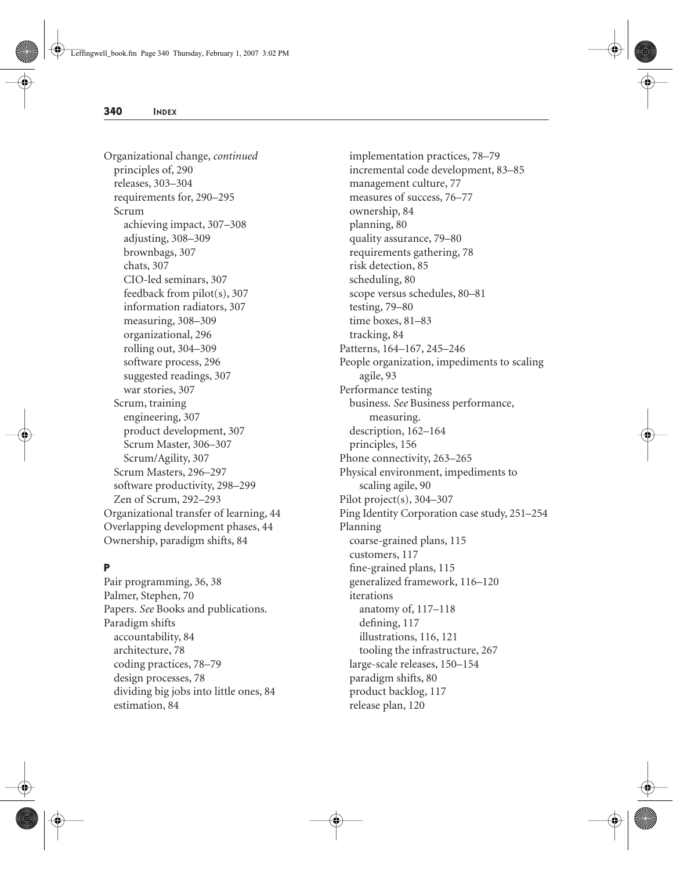Organizational change, *continued* principles of, 290 releases, 303–304 requirements for, 290–295 Scrum achieving impact, 307–308 adjusting, 308–309 brownbags, 307 chats, 307 CIO-led seminars, 307 feedback from pilot(s), 307 information radiators, 307 measuring, 308–309 organizational, 296 rolling out, 304–309 software process, 296 suggested readings, 307 war stories, 307 Scrum, training engineering, 307 product development, 307 Scrum Master, 306–307 Scrum/Agility, 307 Scrum Masters, 296–297 software productivity, 298–299 Zen of Scrum, 292–293 Organizational transfer of learning, 44 Overlapping development phases, 44 Ownership, paradigm shifts, 84

#### **P**

Pair programming, 36, 38 Palmer, Stephen, 70 Papers. *See* Books and publications. Paradigm shifts accountability, 84 architecture, 78 coding practices, 78–79 design processes, 78 dividing big jobs into little ones, 84 estimation, 84

implementation practices, 78–79 incremental code development, 83–85 management culture, 77 measures of success, 76–77 ownership, 84 planning, 80 quality assurance, 79–80 requirements gathering, 78 risk detection, 85 scheduling, 80 scope versus schedules, 80–81 testing, 79–80 time boxes, 81–83 tracking, 84 Patterns, 164–167, 245–246 People organization, impediments to scaling agile, 93 Performance testing business. *See* Business performance, measuring. description, 162–164 principles, 156 Phone connectivity, 263–265 Physical environment, impediments to scaling agile, 90 Pilot project(s), 304–307 Ping Identity Corporation case study, 251–254 Planning coarse-grained plans, 115 customers, 117 fine-grained plans, 115 generalized framework, 116–120 iterations anatomy of, 117–118 defining, 117 illustrations, 116, 121 tooling the infrastructure, 267 large-scale releases, 150–154 paradigm shifts, 80 product backlog, 117 release plan, 120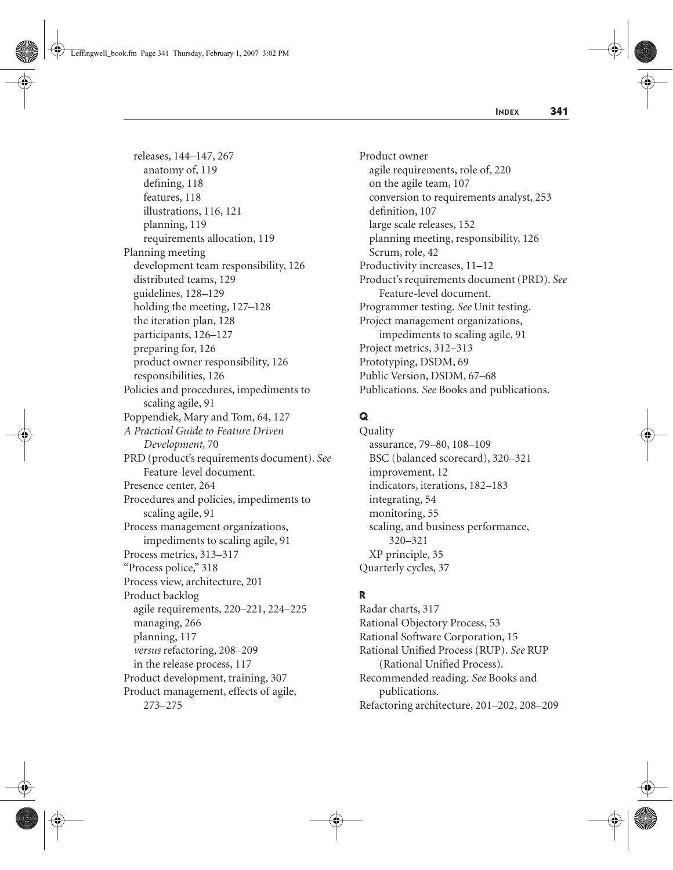releases, 144–147, 267 anatomy of, 119 defining, 118 features, 118 illustrations, 116, 121 planning, 119 requirements allocation, 119 Planning meeting development team responsibility, 126 distributed teams, 129 guidelines, 128–129 holding the meeting, 127–128 the iteration plan, 128 participants, 126–127 preparing for, 126 product owner responsibility, 126 responsibilities, 126 Policies and procedures, impediments to scaling agile, 91 Poppendiek, Mary and Tom, 64, 127 *A Practical Guide to Feature Driven Development*, 70 PRD (product's requirements document). *See* Feature-level document. Presence center, 264 Procedures and policies, impediments to scaling agile, 91 Process management organizations, impediments to scaling agile, 91 Process metrics, 313–317 "Process police," 318 Process view, architecture, 201 Product backlog agile requirements, 220–221, 224–225 managing, 266 planning, 117 *versus* refactoring, 208–209 in the release process, 117 Product development, training, 307 Product management, effects of agile, 273–275

Product owner agile requirements, role of, 220 on the agile team, 107 conversion to requirements analyst, 253 definition, 107 large scale releases, 152 planning meeting, responsibility, 126 Scrum, role, 42 Productivity increases, 11–12 Product's requirements document (PRD). *See* Feature-level document. Programmer testing. *See* Unit testing. Project management organizations, impediments to scaling agile, 91 Project metrics, 312–313 Prototyping, DSDM, 69 Public Version, DSDM, 67–68 Publications. *See* Books and publications.

# **Q**

Quality assurance, 79–80, 108–109 BSC (balanced scorecard), 320–321 improvement, 12 indicators, iterations, 182–183 integrating, 54 monitoring, 55 scaling, and business performance, 320–321 XP principle, 35 Quarterly cycles, 37

## **R**

Radar charts, 317 Rational Objectory Process, 53 Rational Software Corporation, 15 Rational Unified Process (RUP). *See* RUP (Rational Unified Process). Recommended reading. *See* Books and publications. Refactoring architecture, 201–202, 208–209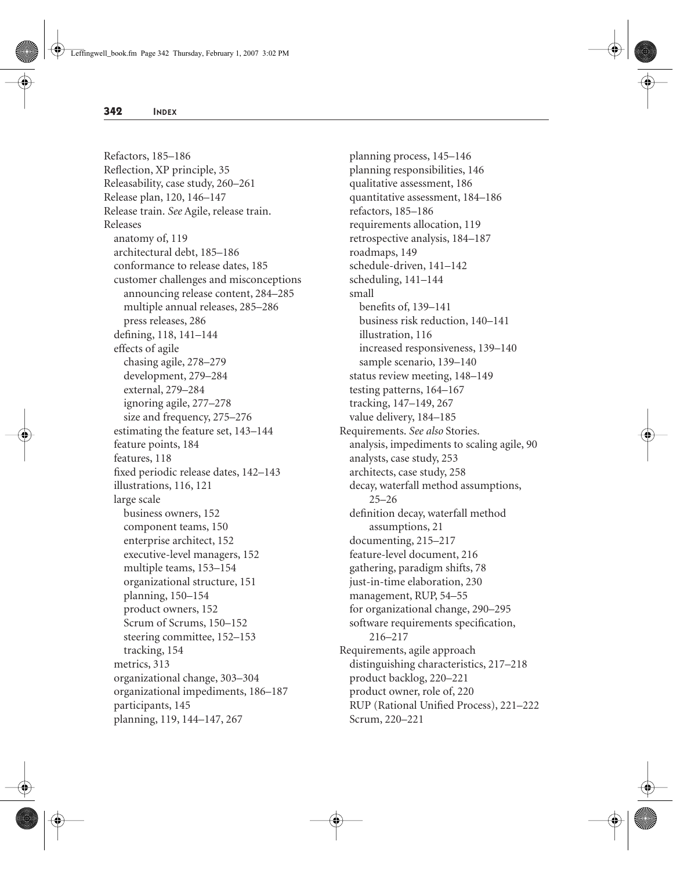Refactors, 185–186 Reflection, XP principle, 35 Releasability, case study, 260–261 Release plan, 120, 146–147 Release train. *See* Agile, release train. Releases anatomy of, 119 architectural debt, 185–186 conformance to release dates, 185 customer challenges and misconceptions announcing release content, 284–285 multiple annual releases, 285–286 press releases, 286 defining, 118, 141–144 effects of agile chasing agile, 278–279 development, 279–284 external, 279–284 ignoring agile, 277–278 size and frequency, 275–276 estimating the feature set, 143–144 feature points, 184 features, 118 fixed periodic release dates, 142–143 illustrations, 116, 121 large scale business owners, 152 component teams, 150 enterprise architect, 152 executive-level managers, 152 multiple teams, 153–154 organizational structure, 151 planning, 150–154 product owners, 152 Scrum of Scrums, 150–152 steering committee, 152–153 tracking, 154 metrics, 313 organizational change, 303–304 organizational impediments, 186–187 participants, 145 planning, 119, 144–147, 267

planning process, 145–146 planning responsibilities, 146 qualitative assessment, 186 quantitative assessment, 184–186 refactors, 185–186 requirements allocation, 119 retrospective analysis, 184–187 roadmaps, 149 schedule-driven, 141–142 scheduling, 141–144 small benefits of, 139–141 business risk reduction, 140–141 illustration, 116 increased responsiveness, 139–140 sample scenario, 139–140 status review meeting, 148–149 testing patterns, 164–167 tracking, 147–149, 267 value delivery, 184–185 Requirements. *See also* Stories. analysis, impediments to scaling agile, 90 analysts, case study, 253 architects, case study, 258 decay, waterfall method assumptions, 25–26 definition decay, waterfall method assumptions, 21 documenting, 215–217 feature-level document, 216 gathering, paradigm shifts, 78 just-in-time elaboration, 230 management, RUP, 54–55 for organizational change, 290–295 software requirements specification, 216–217 Requirements, agile approach distinguishing characteristics, 217–218 product backlog, 220–221 product owner, role of, 220 RUP (Rational Unified Process), 221–222 Scrum, 220–221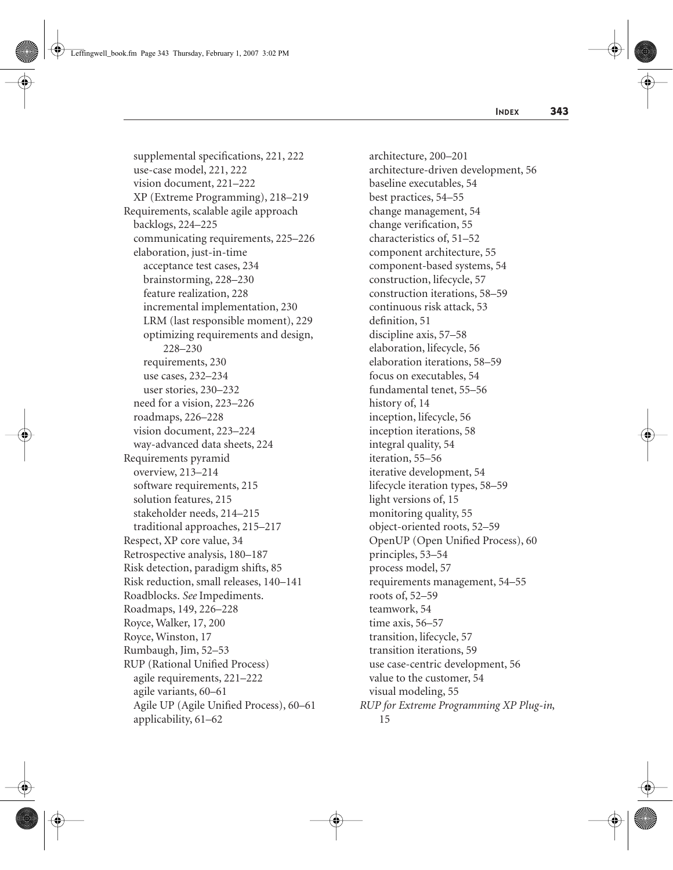supplemental specifications, 221, 222 use-case model, 221, 222 vision document, 221–222 XP (Extreme Programming), 218–219 Requirements, scalable agile approach backlogs, 224–225 communicating requirements, 225–226 elaboration, just-in-time acceptance test cases, 234 brainstorming, 228–230 feature realization, 228 incremental implementation, 230 LRM (last responsible moment), 229 optimizing requirements and design, 228–230 requirements, 230 use cases, 232–234 user stories, 230–232 need for a vision, 223–226 roadmaps, 226–228 vision document, 223–224 way-advanced data sheets, 224 Requirements pyramid overview, 213–214 software requirements, 215 solution features, 215 stakeholder needs, 214–215 traditional approaches, 215–217 Respect, XP core value, 34 Retrospective analysis, 180–187 Risk detection, paradigm shifts, 85 Risk reduction, small releases, 140–141 Roadblocks. *See* Impediments. Roadmaps, 149, 226–228 Royce, Walker, 17, 200 Royce, Winston, 17 Rumbaugh, Jim, 52–53 RUP (Rational Unified Process) agile requirements, 221–222 agile variants, 60–61 Agile UP (Agile Unified Process), 60–61 applicability, 61–62

architecture, 200–201 architecture-driven development, 56 baseline executables, 54 best practices, 54–55 change management, 54 change verification, 55 characteristics of, 51–52 component architecture, 55 component-based systems, 54 construction, lifecycle, 57 construction iterations, 58–59 continuous risk attack, 53 definition, 51 discipline axis, 57–58 elaboration, lifecycle, 56 elaboration iterations, 58–59 focus on executables, 54 fundamental tenet, 55–56 history of, 14 inception, lifecycle, 56 inception iterations, 58 integral quality, 54 iteration, 55–56 iterative development, 54 lifecycle iteration types, 58–59 light versions of, 15 monitoring quality, 55 object-oriented roots, 52–59 OpenUP (Open Unified Process), 60 principles, 53–54 process model, 57 requirements management, 54–55 roots of, 52–59 teamwork, 54 time axis, 56–57 transition, lifecycle, 57 transition iterations, 59 use case-centric development, 56 value to the customer, 54 visual modeling, 55 *RUP for Extreme Programming XP Plug-in*, 15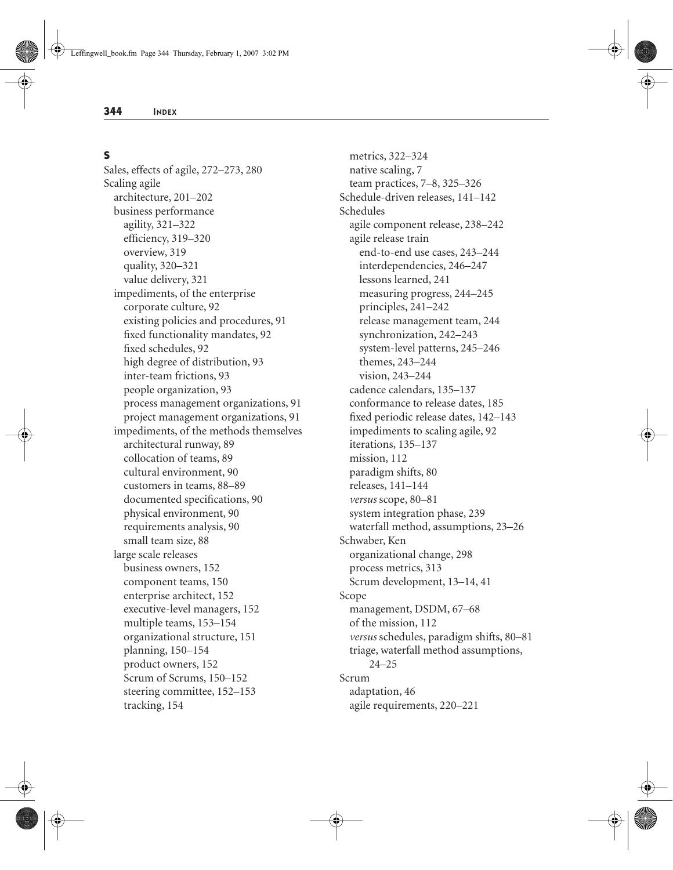#### **S**

Sales, effects of agile, 272–273, 280 Scaling agile architecture, 201–202 business performance agility, 321–322 efficiency, 319–320 overview, 319 quality, 320–321 value delivery, 321 impediments, of the enterprise corporate culture, 92 existing policies and procedures, 91 fixed functionality mandates, 92 fixed schedules, 92 high degree of distribution, 93 inter-team frictions, 93 people organization, 93 process management organizations, 91 project management organizations, 91 impediments, of the methods themselves architectural runway, 89 collocation of teams, 89 cultural environment, 90 customers in teams, 88–89 documented specifications, 90 physical environment, 90 requirements analysis, 90 small team size, 88 large scale releases business owners, 152 component teams, 150 enterprise architect, 152 executive-level managers, 152 multiple teams, 153–154 organizational structure, 151 planning, 150–154 product owners, 152 Scrum of Scrums, 150–152 steering committee, 152–153 tracking, 154

metrics, 322–324 native scaling, 7 team practices, 7–8, 325–326 Schedule-driven releases, 141–142 Schedules agile component release, 238–242 agile release train end-to-end use cases, 243–244 interdependencies, 246–247 lessons learned, 241 measuring progress, 244–245 principles, 241–242 release management team, 244 synchronization, 242–243 system-level patterns, 245–246 themes, 243–244 vision, 243–244 cadence calendars, 135–137 conformance to release dates, 185 fixed periodic release dates, 142–143 impediments to scaling agile, 92 iterations, 135–137 mission, 112 paradigm shifts, 80 releases, 141–144 *versus* scope, 80–81 system integration phase, 239 waterfall method, assumptions, 23–26 Schwaber, Ken organizational change, 298 process metrics, 313 Scrum development, 13–14, 41 Scope management, DSDM, 67–68 of the mission, 112 *versus* schedules, paradigm shifts, 80–81 triage, waterfall method assumptions, 24–25 Scrum adaptation, 46 agile requirements, 220–221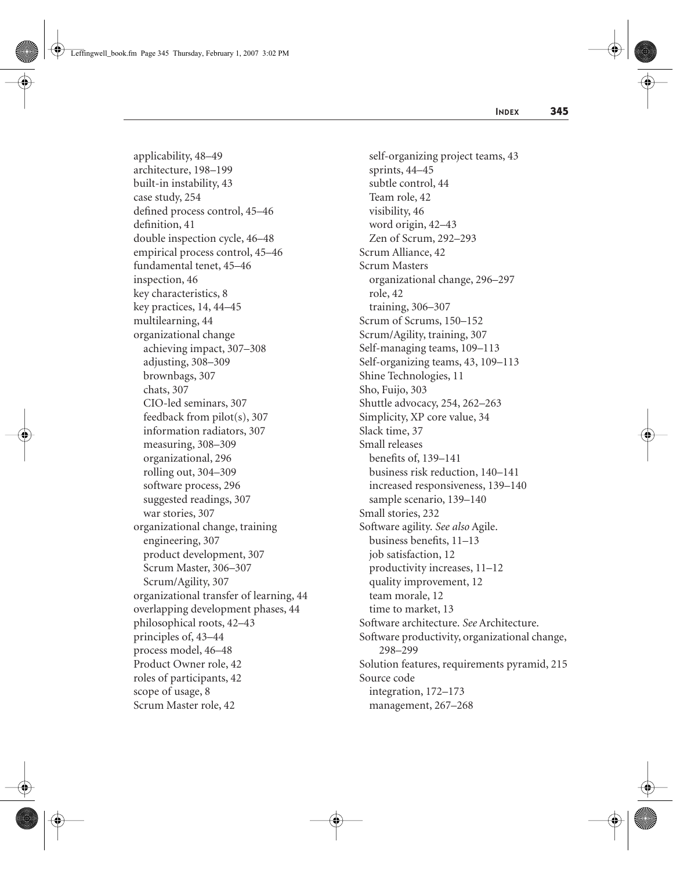applicability, 48–49 architecture, 198–199 built-in instability, 43 case study, 254 defined process control, 45–46 definition, 41 double inspection cycle, 46–48 empirical process control, 45–46 fundamental tenet, 45–46 inspection, 46 key characteristics, 8 key practices, 14, 44–45 multilearning, 44 organizational change achieving impact, 307–308 adjusting, 308–309 brownbags, 307 chats, 307 CIO-led seminars, 307 feedback from pilot(s), 307 information radiators, 307 measuring, 308–309 organizational, 296 rolling out, 304–309 software process, 296 suggested readings, 307 war stories, 307 organizational change, training engineering, 307 product development, 307 Scrum Master, 306–307 Scrum/Agility, 307 organizational transfer of learning, 44 overlapping development phases, 44 philosophical roots, 42–43 principles of, 43–44 process model, 46–48 Product Owner role, 42 roles of participants, 42 scope of usage, 8 Scrum Master role, 42

self-organizing project teams, 43 sprints, 44–45 subtle control, 44 Team role, 42 visibility, 46 word origin, 42–43 Zen of Scrum, 292–293 Scrum Alliance, 42 Scrum Masters organizational change, 296–297 role, 42 training, 306–307 Scrum of Scrums, 150–152 Scrum/Agility, training, 307 Self-managing teams, 109–113 Self-organizing teams, 43, 109–113 Shine Technologies, 11 Sho, Fuijo, 303 Shuttle advocacy, 254, 262–263 Simplicity, XP core value, 34 Slack time, 37 Small releases benefits of, 139–141 business risk reduction, 140–141 increased responsiveness, 139–140 sample scenario, 139–140 Small stories, 232 Software agility. *See also* Agile. business benefits, 11–13 job satisfaction, 12 productivity increases, 11–12 quality improvement, 12 team morale, 12 time to market, 13 Software architecture. *See* Architecture. Software productivity, organizational change, 298–299 Solution features, requirements pyramid, 215 Source code integration, 172–173 management, 267–268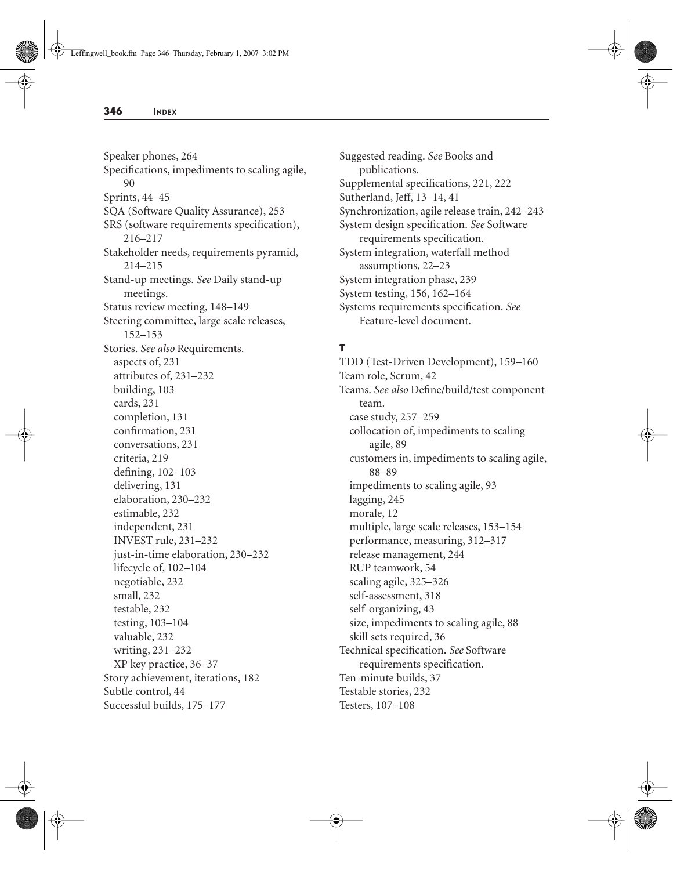Speaker phones, 264 Specifications, impediments to scaling agile, 90 Sprints, 44–45 SQA (Software Quality Assurance), 253 SRS (software requirements specification), 216–217 Stakeholder needs, requirements pyramid, 214–215 Stand-up meetings. *See* Daily stand-up meetings. Status review meeting, 148–149 Steering committee, large scale releases, 152–153 Stories. *See also* Requirements. aspects of, 231 attributes of, 231–232 building, 103 cards, 231 completion, 131 confirmation, 231 conversations, 231 criteria, 219 defining, 102–103 delivering, 131 elaboration, 230–232 estimable, 232 independent, 231 INVEST rule, 231–232 just-in-time elaboration, 230–232 lifecycle of, 102–104 negotiable, 232 small, 232 testable, 232 testing, 103–104 valuable, 232 writing, 231–232 XP key practice, 36–37 Story achievement, iterations, 182 Subtle control, 44 Successful builds, 175–177

Suggested reading. *See* Books and publications. Supplemental specifications, 221, 222 Sutherland, Jeff, 13–14, 41 Synchronization, agile release train, 242–243 System design specification. *See* Software requirements specification. System integration, waterfall method assumptions, 22–23 System integration phase, 239 System testing, 156, 162–164 Systems requirements specification. *See* Feature-level document.

## **T**

TDD (Test-Driven Development), 159–160 Team role, Scrum, 42 Teams. *See also* Define/build/test component team. case study, 257–259 collocation of, impediments to scaling agile, 89 customers in, impediments to scaling agile, 88–89 impediments to scaling agile, 93 lagging, 245 morale, 12 multiple, large scale releases, 153–154 performance, measuring, 312–317 release management, 244 RUP teamwork, 54 scaling agile, 325–326 self-assessment, 318 self-organizing, 43 size, impediments to scaling agile, 88 skill sets required, 36 Technical specification. *See* Software requirements specification. Ten-minute builds, 37 Testable stories, 232 Testers, 107–108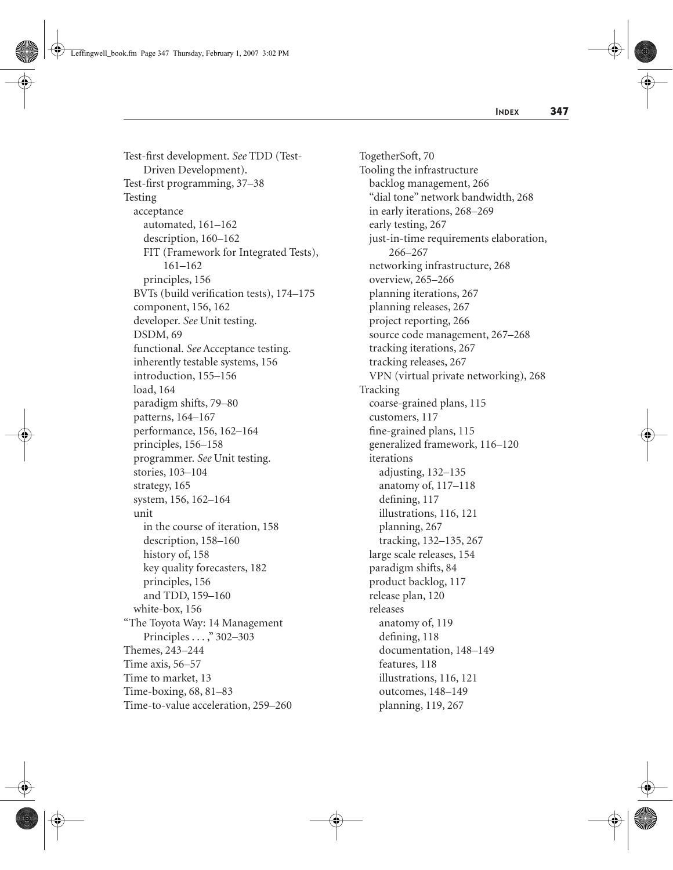Test-first development. *See* TDD (Test-Driven Development). Test-first programming, 37–38 Testing acceptance automated, 161–162 description, 160–162 FIT (Framework for Integrated Tests), 161–162 principles, 156 BVTs (build verification tests), 174–175 component, 156, 162 developer. *See* Unit testing. DSDM, 69 functional. *See* Acceptance testing. inherently testable systems, 156 introduction, 155–156 load, 164 paradigm shifts, 79–80 patterns, 164–167 performance, 156, 162–164 principles, 156–158 programmer. *See* Unit testing. stories, 103–104 strategy, 165 system, 156, 162–164 unit in the course of iteration, 158 description, 158–160 history of, 158 key quality forecasters, 182 principles, 156 and TDD, 159–160 white-box, 156 "The Toyota Way: 14 Management Principles . . . ," 302–303 Themes, 243–244 Time axis, 56–57 Time to market, 13 Time-boxing, 68, 81–83 Time-to-value acceleration, 259–260

TogetherSoft, 70 Tooling the infrastructure backlog management, 266 "dial tone" network bandwidth, 268 in early iterations, 268–269 early testing, 267 just-in-time requirements elaboration, 266–267 networking infrastructure, 268 overview, 265–266 planning iterations, 267 planning releases, 267 project reporting, 266 source code management, 267–268 tracking iterations, 267 tracking releases, 267 VPN (virtual private networking), 268 Tracking coarse-grained plans, 115 customers, 117 fine-grained plans, 115 generalized framework, 116–120 iterations adjusting, 132–135 anatomy of, 117–118 defining, 117 illustrations, 116, 121 planning, 267 tracking, 132–135, 267 large scale releases, 154 paradigm shifts, 84 product backlog, 117 release plan, 120 releases anatomy of, 119 defining, 118 documentation, 148–149 features, 118 illustrations, 116, 121 outcomes, 148–149 planning, 119, 267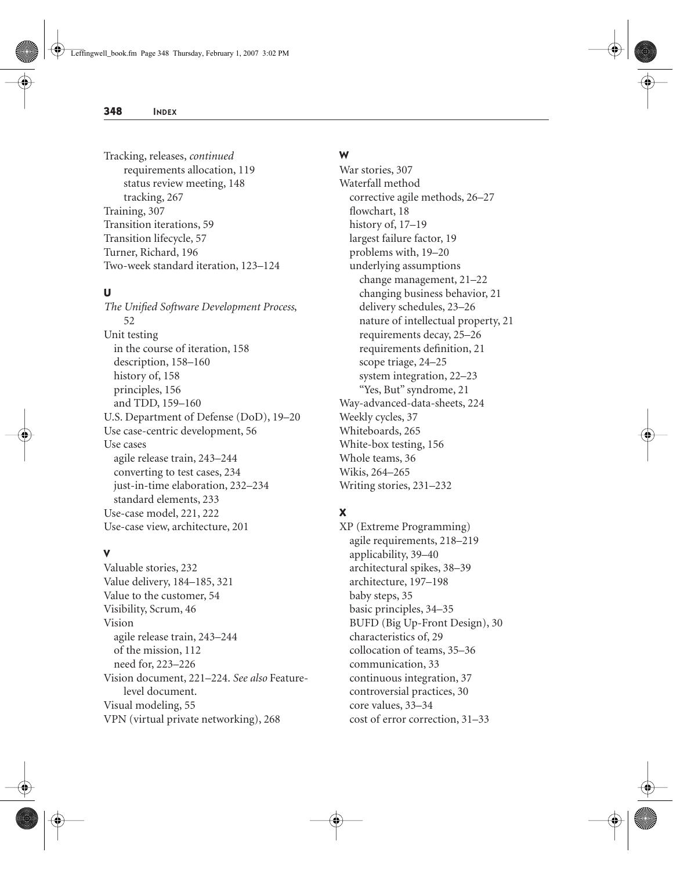Tracking, releases, *continued* requirements allocation, 119 status review meeting, 148 tracking, 267 Training, 307 Transition iterations, 59 Transition lifecycle, 57 Turner, Richard, 196 Two-week standard iteration, 123–124

#### **U**

*The Unified Software Development Process*, 52 Unit testing in the course of iteration, 158 description, 158–160 history of, 158 principles, 156 and TDD, 159–160 U.S. Department of Defense (DoD), 19–20 Use case-centric development, 56 Use cases agile release train, 243–244 converting to test cases, 234 just-in-time elaboration, 232–234 standard elements, 233 Use-case model, 221, 222 Use-case view, architecture, 201

#### **V**

Valuable stories, 232 Value delivery, 184–185, 321 Value to the customer, 54 Visibility, Scrum, 46 Vision agile release train, 243–244 of the mission, 112 need for, 223–226 Vision document, 221–224. *See also* Featurelevel document. Visual modeling, 55 VPN (virtual private networking), 268

#### **W**

War stories, 307 Waterfall method corrective agile methods, 26–27 flowchart, 18 history of, 17–19 largest failure factor, 19 problems with, 19–20 underlying assumptions change management, 21–22 changing business behavior, 21 delivery schedules, 23–26 nature of intellectual property, 21 requirements decay, 25–26 requirements definition, 21 scope triage, 24–25 system integration, 22–23 "Yes, But" syndrome, 21 Way-advanced-data-sheets, 224 Weekly cycles, 37 Whiteboards, 265 White-box testing, 156 Whole teams, 36 Wikis, 264–265 Writing stories, 231–232

## **X**

XP (Extreme Programming) agile requirements, 218–219 applicability, 39–40 architectural spikes, 38–39 architecture, 197–198 baby steps, 35 basic principles, 34–35 BUFD (Big Up-Front Design), 30 characteristics of, 29 collocation of teams, 35–36 communication, 33 continuous integration, 37 controversial practices, 30 core values, 33–34 cost of error correction, 31–33